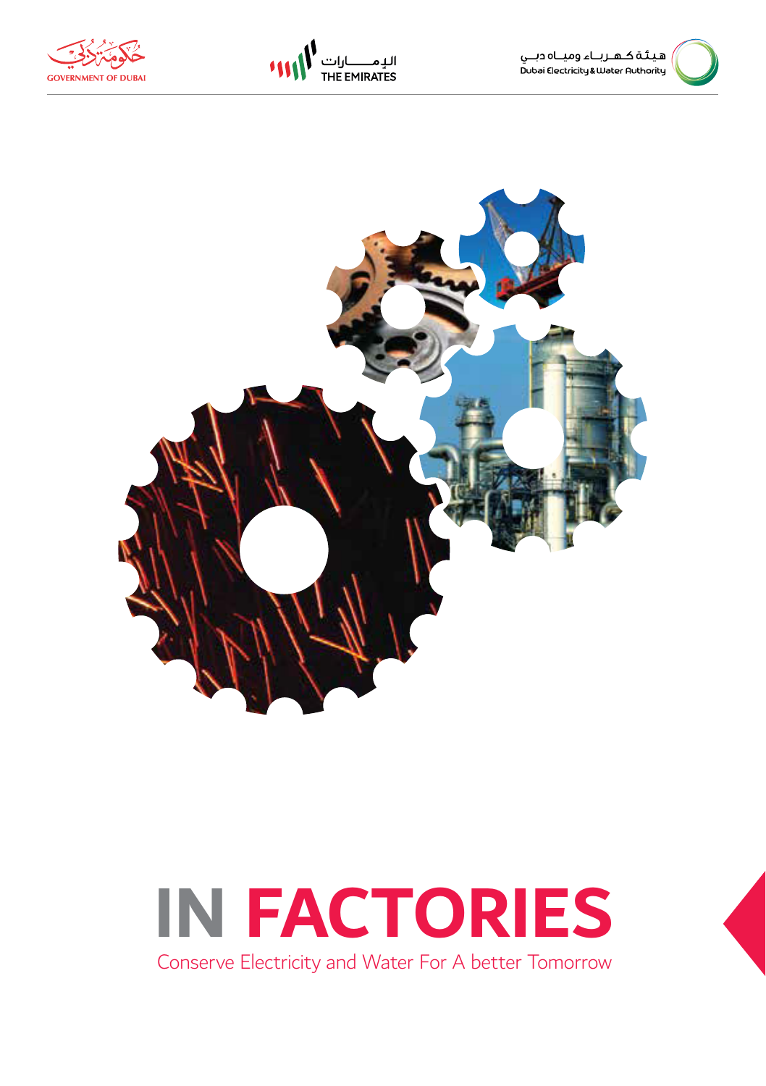







#### **IN FACTORIES** Conserve Electricity and Water For A better Tomorrow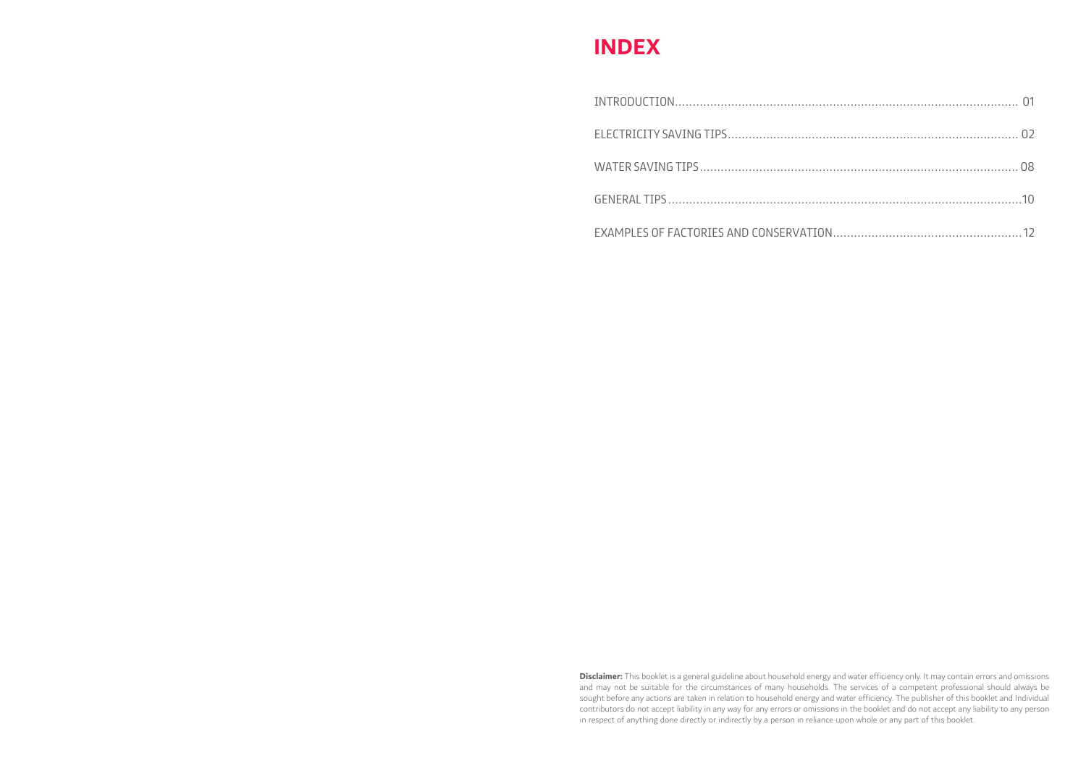#### **INDEX**

**Disclaimer:** This booklet is a general guideline about household energy and water efficiency only. It may contain errors and omissions and may not be suitable for the circumstances of many households. The services of a competent professional should always be sought before any actions are taken in relation to household energy and water efficiency. The publisher of this booklet and Individual contributors do not accept liability in any way for any errors or omissions in the booklet and do not accept any liability to any person in respect of anything done directly or indirectly by a person in reliance upon whole or any part of this booklet.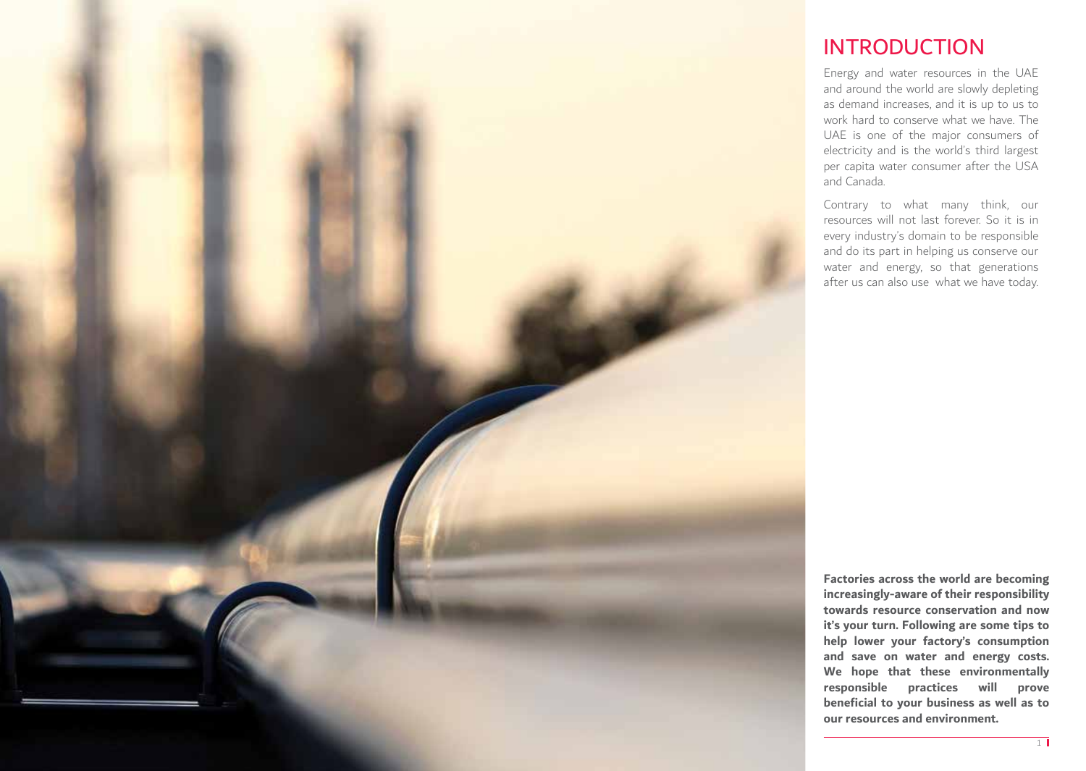

#### INTRODUCTION

Energy and water resources in the UAE and around the world are slowly depleting as demand increases, and it is up to us to work hard to conserve what we have. The UAE is one of the major consumers of electricity and is the world's third largest per capita water consumer after the USA and Canada.

Contrary to what many think, our resources will not last forever. So it is in every industry's domain to be responsible and do its part in helping us conserve our water and energy, so that generations after us can also use what we have today.

**Factories across the world are becoming increasingly-aware of their responsibility towards resource conservation and now it's your turn. Following are some tips to help lower your factory's consumption and save on water and energy costs. We hope that these environmentally responsible practices will prove beneficial to your business as well as to our resources and environment.**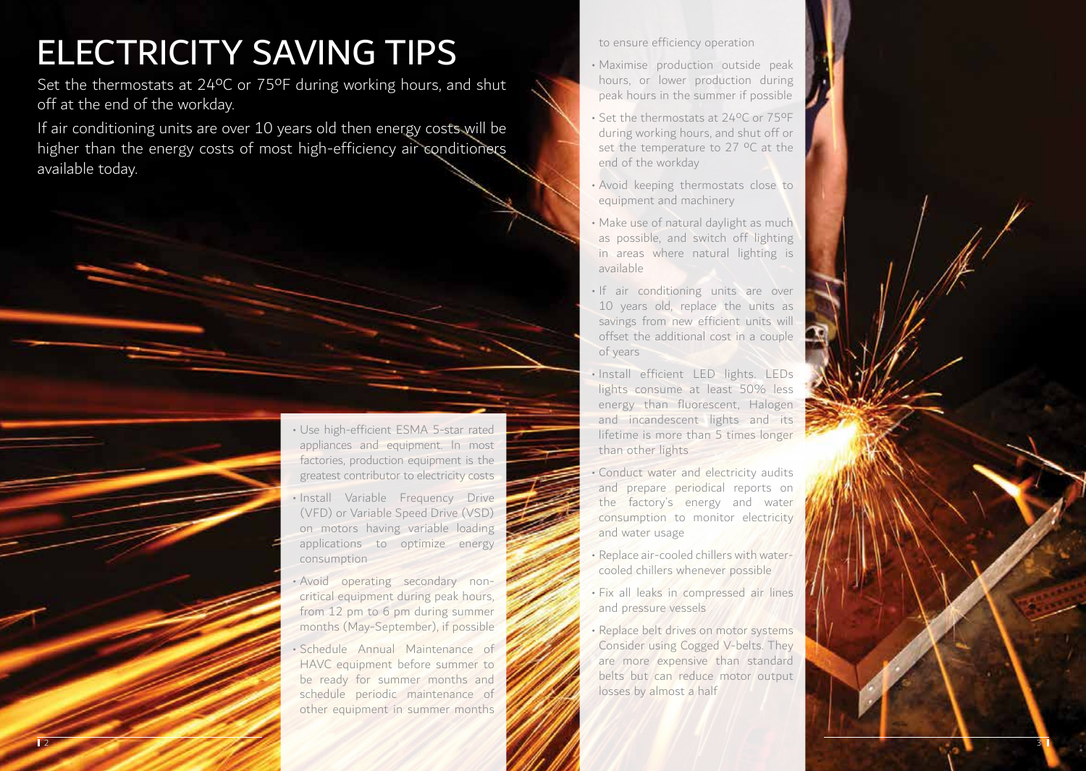## ELECTRICITY SAVING TIPS

Set the thermostats at 24°C or 75°F during working hours, and shut off at the end of the workday.

If air conditioning units are over 10 years old then energy costs will be higher than the energy costs of most high-efficiency air conditioners available today.

> • Use high-efficient ESMA 5-star rated appliances and equipment. In most factories, production equipment is the greatest contributor to electricity costs

- Install Variable Frequency Drive (VFD) or Variable Speed Drive (VSD) on motors having variable loading applications to optimize energy consumption
- Avoid operating secondary noncritical equipment during peak hours, from 12 pm to 6 pm during summer months (May-September), if possible

• Schedule Annual Maintenance of HAVC equipment before summer to be ready for summer months and schedule periodic maintenance of other equipment in summer months

to ensure efficiency operation

- Maximise production outside peak hours, or lower production during peak hours in the summer if possible
- Set the thermostats at 24ºC or 75ºF during working hours, and shut off or set the temperature to 27 °C at the end of the workday
- Avoid keeping thermostats close to equipment and machinery
- Make use of natural daylight as much as possible, and switch off lighting in areas where natural lighting is available
- If air conditioning units are over 10 years old, replace the units as savings from new efficient units will offset the additional cost in a couple of years
- Install efficient LED lights. LEDs lights consume at least 50% less energy than fluorescent, Halogen and incandescent lights and its lifetime is more than 5 times longer than other lights
- Conduct water and electricity audits and prepare periodical reports on the factory's energy and water consumption to monitor electricity and water usage
- Replace air-cooled chillers with watercooled chillers whenever possible
- Fix all leaks in compressed air lines and pressure vessels
- Replace belt drives on motor systems Consider using Cogged V-belts. They are more expensive than standard belts but can reduce motor output losses by almost a half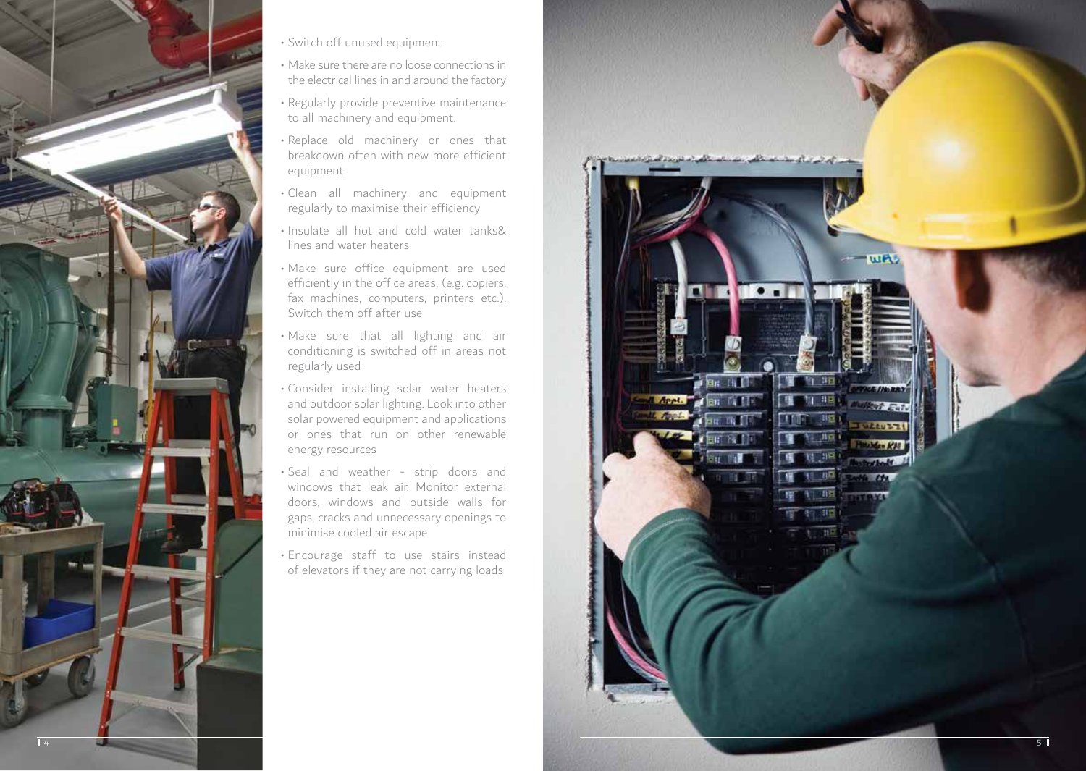

- Switch off unused equipment
- Make sure there are no loose connections in the electrical lines in and around the factory
- Regularly provide preventive maintenance to all machinery and equipment.
- Replace old machinery or ones that breakdown often with new more efficient equipment
- Clean all machinery and equipment regularly to maximise their efficiency
- Insulate all hot and cold water tanks& lines and water heaters
- Make sure office equipment are used efficiently in the office areas. (e.g. copiers, fax machines, computers, printers etc.). Switch them off after use
- Make sure that all lighting and air conditioning is switched off in areas not regularly used
- Consider installing solar water heaters and outdoor solar lighting. Look into other solar powered equipment and applications or ones that run on other renewable energy resources
- Seal and weather strip doors and windows that leak air. Monitor external doors, windows and outside walls for gaps, cracks and unnecessary openings to minimise cooled air escape
- Encourage staff to use stairs instead of elevators if they are not carrying loads

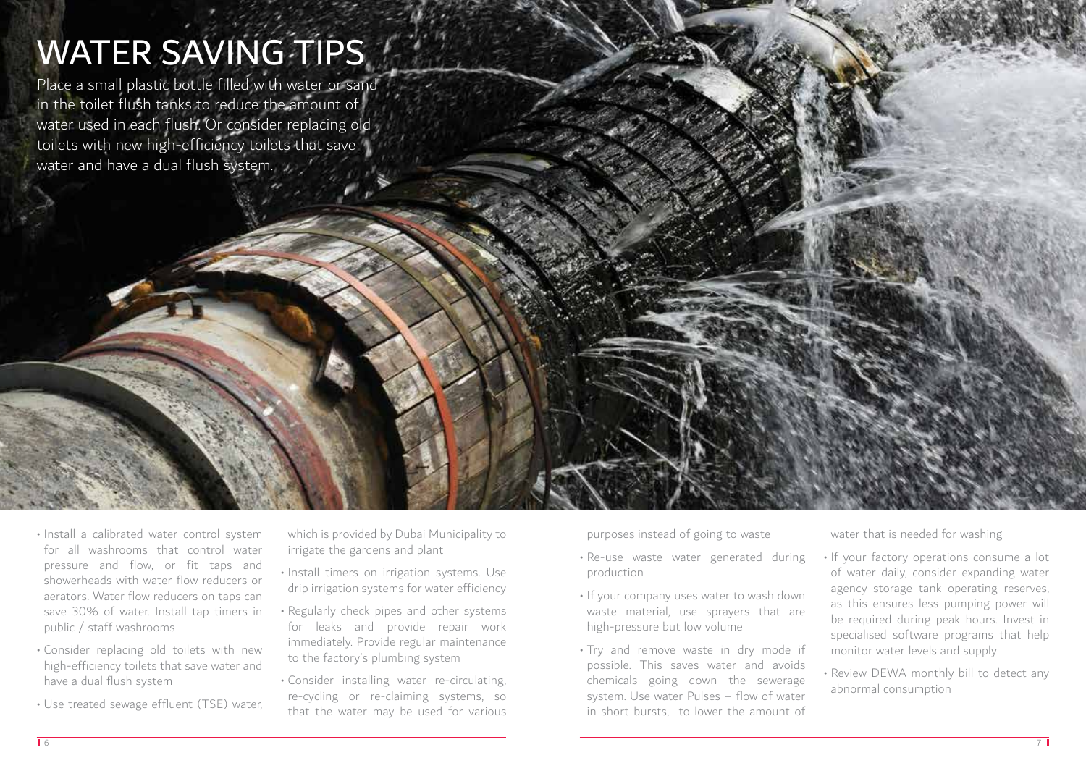# WATER SAVING TIPS

Place a small plastic bottle filled with water or sand in the toilet flush tanks to reduce the amount of water used in each flush. Or consider replacing old toilets with new high-efficiency toilets that save water and have a dual flush system.

- Install a calibrated water control system for all washrooms that control water pressure and flow, or fit taps and showerheads with water flow reducers or aerators. Water flow reducers on taps can save 30% of water. Install tap timers in public / staff washrooms
- Consider replacing old toilets with new high-efficiency toilets that save water and have a dual flush system
- Use treated sewage effluent (TSE) water,

which is provided by Dubai Municipality to irrigate the gardens and plant

- Install timers on irrigation systems. Use drip irrigation systems for water efficiency
- Regularly check pipes and other systems for leaks and provide repair work immediately. Provide regular maintenance to the factory's plumbing system
- Consider installing water re-circulating, re-cycling or re-claiming systems, so that the water may be used for various

purposes instead of going to waste

- Re-use waste water generated during production
- If your company uses water to wash down waste material, use sprayers that are high-pressure but low volume
- Try and remove waste in dry mode if possible. This saves water and avoids chemicals going down the sewerage system. Use water Pulses – flow of water in short bursts, to lower the amount of

water that is needed for washing

- If your factory operations consume a lot of water daily, consider expanding water agency storage tank operating reserves, as this ensures less pumping power will be required during peak hours. Invest in specialised software programs that help monitor water levels and supply
- Review DEWA monthly bill to detect any abnormal consumption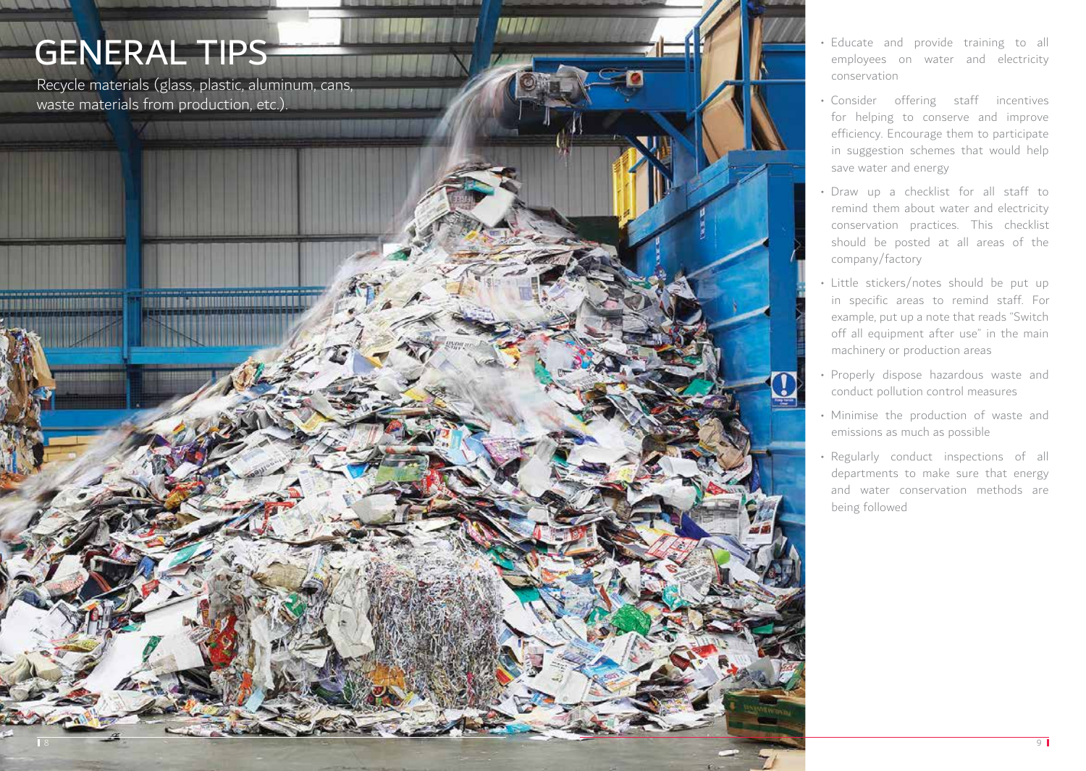### GENERAL TIPS

Recycle materials (glass, plastic, aluminum, cans, waste materials from production, etc.).

**ENTERED SECONDO DO DO DO DO DO DO** 

- Educate and provide training to all employees on water and electricity conservation
- Consider offering staff incentives for helping to conserve and improve efficiency. Encourage them to participate in suggestion schemes that would help save water and energy
- Draw up a checklist for all staff to remind them about water and electricity conservation practices. This checklist should be posted at all areas of the company/factory
- Little stickers/notes should be put up in specific areas to remind staff. For example, put up a note that reads "Switch off all equipment after use" in the main machinery or production areas
- Properly dispose hazardous waste and conduct pollution control measures
- Minimise the production of waste and emissions as much as possible
- Regularly conduct inspections of all departments to make sure that energy and water conservation methods are being followed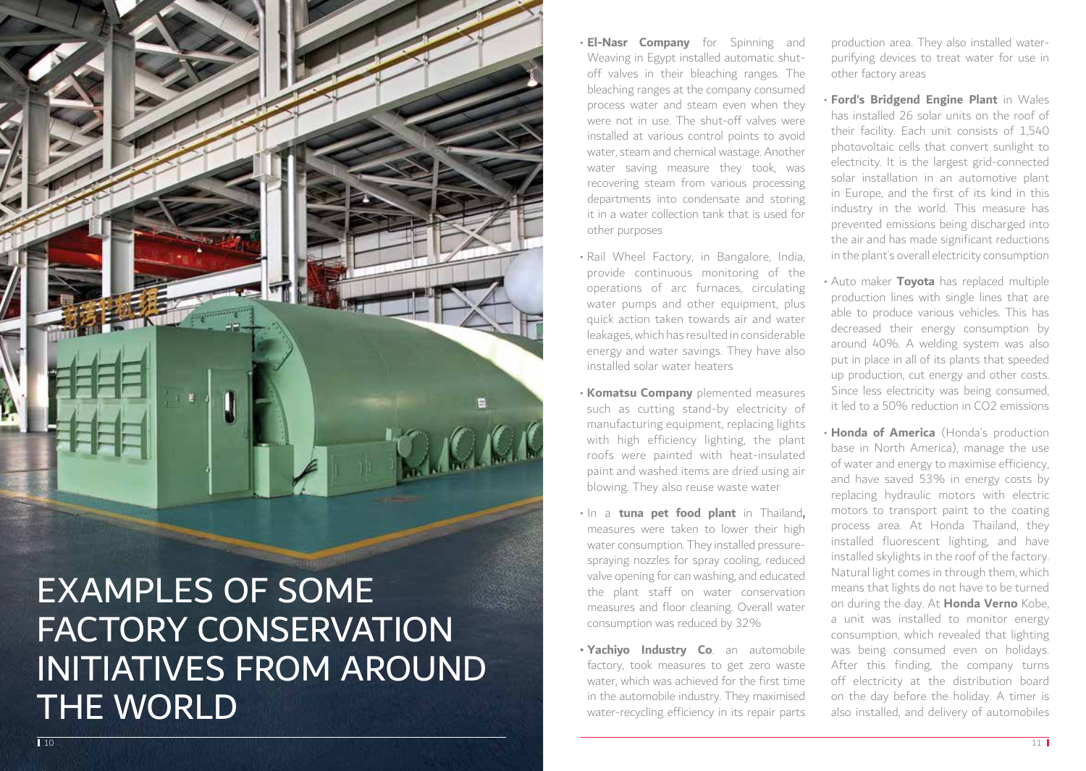

- **El-Nasr Company** for Spinning and Weaving in Egypt installed automatic shutoff valves in their bleaching ranges. The bleaching ranges at the company consumed process water and steam even when they were not in use. The shut-off valves were installed at various control points to avoid water, steam and chemical wastage. Another water saving measure they took, was recovering steam from various processing departments into condensate and storing it in a water collection tank that is used for other purposes
- Rail Wheel Factory, in Bangalore, India, provide continuous monitoring of the operations of arc furnaces, circulating water pumps and other equipment, plus quick action taken towards air and water leakages, which has resulted in considerable energy and water savings. They have also installed solar water heaters
- **Komatsu Company** plemented measures such as cutting stand-by electricity of manufacturing equipment, replacing lights with high efficiency lighting, the plant roofs were painted with heat-insulated paint and washed items are dried using air blowing. They also reuse waste water
- In a **tuna pet food plant** in Thailand**,**  measures were taken to lower their high water consumption. They installed pressurespraying nozzles for spray cooling, reduced valve opening for can washing, and educated the plant staff on water conservation measures and floor cleaning. Overall water consumption was reduced by 32%
- **• Yachiyo Industry Co**. an automobile factory, took measures to get zero waste water, which was achieved for the first time in the automobile industry. They maximised water-recycling efficiency in its repair parts

production area. They also installed waterpurifying devices to treat water for use in other factory areas

- **Ford's Bridgend Engine Plant** in Wales has installed 26 solar units on the roof of their facility. Each unit consists of 1,540 photovoltaic cells that convert sunlight to electricity. It is the largest grid-connected solar installation in an automotive plant in Europe, and the first of its kind in this industry in the world. This measure has prevented emissions being discharged into the air and has made significant reductions in the plant's overall electricity consumption
- Auto maker **Toyota** has replaced multiple production lines with single lines that are able to produce various vehicles. This has decreased their energy consumption by around 40%. A welding system was also put in place in all of its plants that speeded up production, cut energy and other costs. Since less electricity was being consumed, it led to a 50% reduction in CO2 emissions
- **Honda of America** (Honda's production base in North America), manage the use of water and energy to maximise efficiency, and have saved 53% in energy costs by replacing hydraulic motors with electric motors to transport paint to the coating process area. At Honda Thailand, they installed fluorescent lighting, and have installed skylights in the roof of the factory. Natural light comes in through them, which means that lights do not have to be turned on during the day. At **Honda Verno** Kobe, a unit was installed to monitor energy consumption, which revealed that lighting was being consumed even on holidays. After this finding, the company turns off electricity at the distribution board on the day before the holiday. A timer is also installed, and delivery of automobiles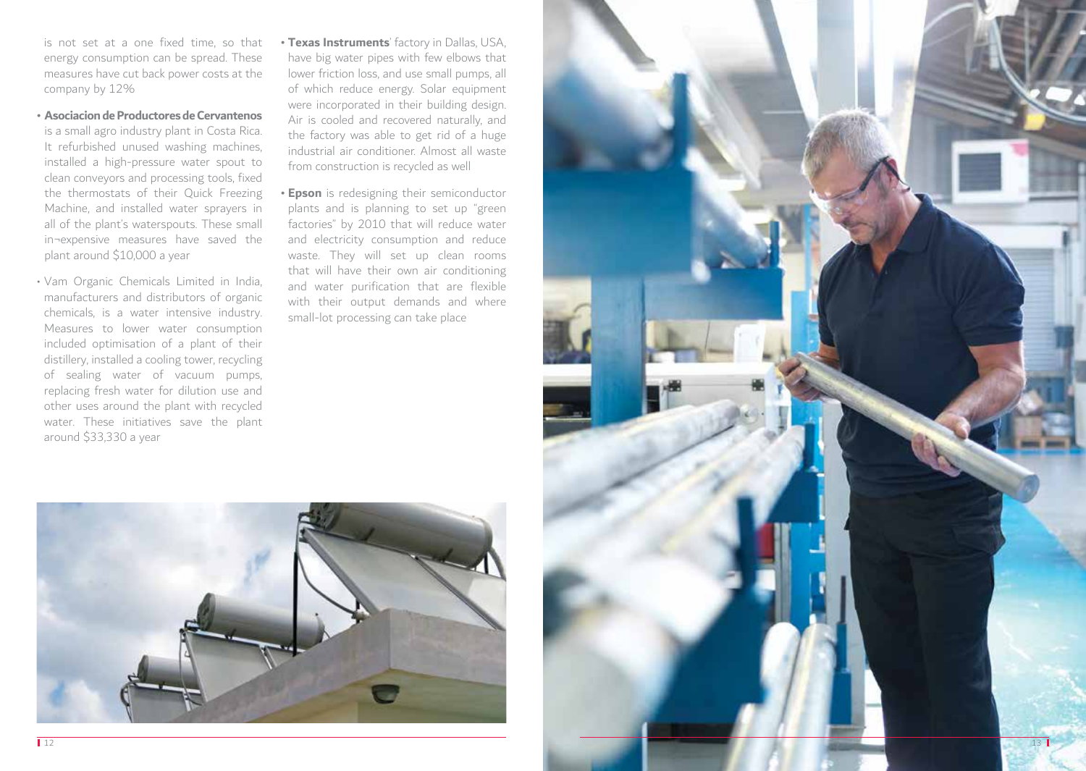is not set at a one fixed time, so that energy consumption can be spread. These measures have cut back power costs at the company by 12%

- **• Asociacion de Productores de Cervantenos** is a small agro industry plant in Costa Rica. It refurbished unused washing machines, installed a high-pressure water spout to clean conveyors and processing tools, fixed the thermostats of their Quick Freezing Machine, and installed water sprayers in all of the plant's waterspouts. These small in¬expensive measures have saved the plant around \$10,000 a year
- Vam Organic Chemicals Limited in India, manufacturers and distributors of organic chemicals, is a water intensive industry. Measures to lower water consumption included optimisation of a plant of their distillery, installed a cooling tower, recycling of sealing water of vacuum pumps, replacing fresh water for dilution use and other uses around the plant with recycled water. These initiatives save the plant around \$33,330 a year
- **• Texas Instruments**' factory in Dallas, USA, have big water pipes with few elbows that lower friction loss, and use small pumps, all of which reduce energy. Solar equipment were incorporated in their building design. Air is cooled and recovered naturally, and the factory was able to get rid of a huge industrial air conditioner. Almost all waste from construction is recycled as well
- **• Epson** is redesigning their semiconductor plants and is planning to set up "green factories" by 2010 that will reduce water and electricity consumption and reduce waste. They will set up clean rooms that will have their own air conditioning and water purification that are flexible with their output demands and where small-lot processing can take place